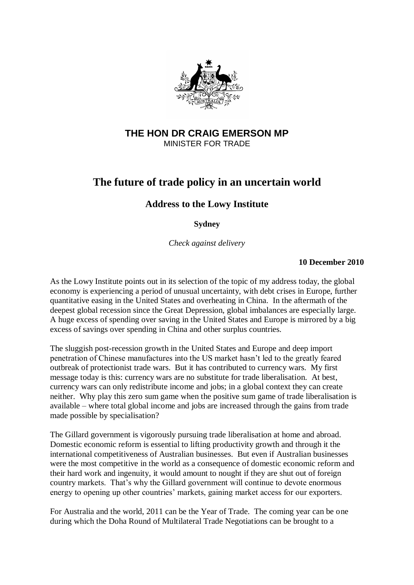

## **THE HON DR CRAIG EMERSON MP** MINISTER FOR TRADE

## **The future of trade policy in an uncertain world**

## **Address to the Lowy Institute**

**Sydney**

*Check against delivery*

## **10 December 2010**

As the Lowy Institute points out in its selection of the topic of my address today, the global economy is experiencing a period of unusual uncertainty, with debt crises in Europe, further quantitative easing in the United States and overheating in China. In the aftermath of the deepest global recession since the Great Depression, global imbalances are especially large. A huge excess of spending over saving in the United States and Europe is mirrored by a big excess of savings over spending in China and other surplus countries.

The sluggish post-recession growth in the United States and Europe and deep import penetration of Chinese manufactures into the US market hasn"t led to the greatly feared outbreak of protectionist trade wars. But it has contributed to currency wars. My first message today is this: currency wars are no substitute for trade liberalisation. At best, currency wars can only redistribute income and jobs; in a global context they can create neither. Why play this zero sum game when the positive sum game of trade liberalisation is available – where total global income and jobs are increased through the gains from trade made possible by specialisation?

The Gillard government is vigorously pursuing trade liberalisation at home and abroad. Domestic economic reform is essential to lifting productivity growth and through it the international competitiveness of Australian businesses. But even if Australian businesses were the most competitive in the world as a consequence of domestic economic reform and their hard work and ingenuity, it would amount to nought if they are shut out of foreign country markets. That"s why the Gillard government will continue to devote enormous energy to opening up other countries' markets, gaining market access for our exporters.

For Australia and the world, 2011 can be the Year of Trade. The coming year can be one during which the Doha Round of Multilateral Trade Negotiations can be brought to a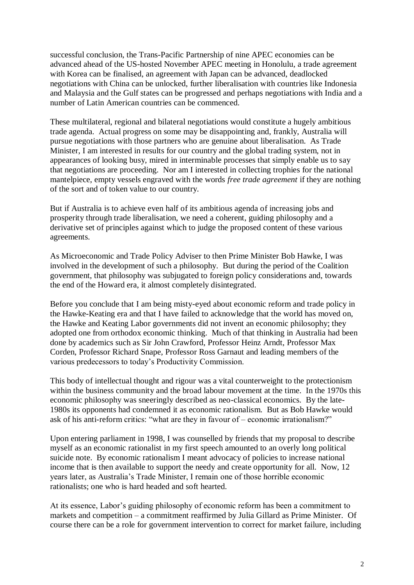successful conclusion, the Trans-Pacific Partnership of nine APEC economies can be advanced ahead of the US-hosted November APEC meeting in Honolulu, a trade agreement with Korea can be finalised, an agreement with Japan can be advanced, deadlocked negotiations with China can be unlocked, further liberalisation with countries like Indonesia and Malaysia and the Gulf states can be progressed and perhaps negotiations with India and a number of Latin American countries can be commenced.

These multilateral, regional and bilateral negotiations would constitute a hugely ambitious trade agenda. Actual progress on some may be disappointing and, frankly, Australia will pursue negotiations with those partners who are genuine about liberalisation. As Trade Minister, I am interested in results for our country and the global trading system, not in appearances of looking busy, mired in interminable processes that simply enable us to say that negotiations are proceeding. Nor am I interested in collecting trophies for the national mantelpiece, empty vessels engraved with the words *free trade agreement* if they are nothing of the sort and of token value to our country.

But if Australia is to achieve even half of its ambitious agenda of increasing jobs and prosperity through trade liberalisation, we need a coherent, guiding philosophy and a derivative set of principles against which to judge the proposed content of these various agreements.

As Microeconomic and Trade Policy Adviser to then Prime Minister Bob Hawke, I was involved in the development of such a philosophy. But during the period of the Coalition government, that philosophy was subjugated to foreign policy considerations and, towards the end of the Howard era, it almost completely disintegrated.

Before you conclude that I am being misty-eyed about economic reform and trade policy in the Hawke-Keating era and that I have failed to acknowledge that the world has moved on, the Hawke and Keating Labor governments did not invent an economic philosophy; they adopted one from orthodox economic thinking. Much of that thinking in Australia had been done by academics such as Sir John Crawford, Professor Heinz Arndt, Professor Max Corden, Professor Richard Snape, Professor Ross Garnaut and leading members of the various predecessors to today"s Productivity Commission.

This body of intellectual thought and rigour was a vital counterweight to the protectionism within the business community and the broad labour movement at the time. In the 1970s this economic philosophy was sneeringly described as neo-classical economics. By the late-1980s its opponents had condemned it as economic rationalism. But as Bob Hawke would ask of his anti-reform critics: "what are they in favour of – economic irrationalism?"

Upon entering parliament in 1998, I was counselled by friends that my proposal to describe myself as an economic rationalist in my first speech amounted to an overly long political suicide note. By economic rationalism I meant advocacy of policies to increase national income that is then available to support the needy and create opportunity for all. Now, 12 years later, as Australia"s Trade Minister, I remain one of those horrible economic rationalists; one who is hard headed and soft hearted.

At its essence, Labor"s guiding philosophy of economic reform has been a commitment to markets and competition – a commitment reaffirmed by Julia Gillard as Prime Minister. Of course there can be a role for government intervention to correct for market failure, including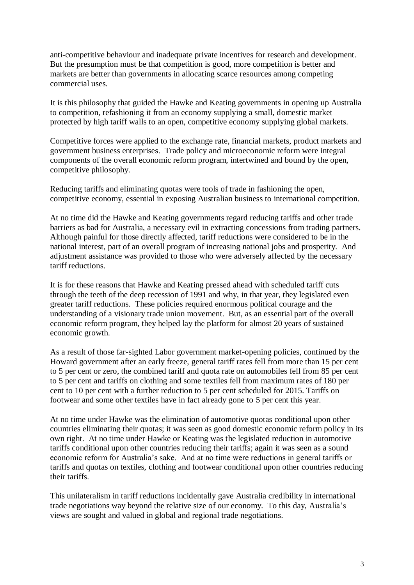anti-competitive behaviour and inadequate private incentives for research and development. But the presumption must be that competition is good, more competition is better and markets are better than governments in allocating scarce resources among competing commercial uses.

It is this philosophy that guided the Hawke and Keating governments in opening up Australia to competition, refashioning it from an economy supplying a small, domestic market protected by high tariff walls to an open, competitive economy supplying global markets.

Competitive forces were applied to the exchange rate, financial markets, product markets and government business enterprises. Trade policy and microeconomic reform were integral components of the overall economic reform program, intertwined and bound by the open, competitive philosophy.

Reducing tariffs and eliminating quotas were tools of trade in fashioning the open, competitive economy, essential in exposing Australian business to international competition.

At no time did the Hawke and Keating governments regard reducing tariffs and other trade barriers as bad for Australia, a necessary evil in extracting concessions from trading partners. Although painful for those directly affected, tariff reductions were considered to be in the national interest, part of an overall program of increasing national jobs and prosperity. And adjustment assistance was provided to those who were adversely affected by the necessary tariff reductions.

It is for these reasons that Hawke and Keating pressed ahead with scheduled tariff cuts through the teeth of the deep recession of 1991 and why, in that year, they legislated even greater tariff reductions. These policies required enormous political courage and the understanding of a visionary trade union movement. But, as an essential part of the overall economic reform program, they helped lay the platform for almost 20 years of sustained economic growth.

As a result of those far-sighted Labor government market-opening policies, continued by the Howard government after an early freeze, general tariff rates fell from more than 15 per cent to 5 per cent or zero, the combined tariff and quota rate on automobiles fell from 85 per cent to 5 per cent and tariffs on clothing and some textiles fell from maximum rates of 180 per cent to 10 per cent with a further reduction to 5 per cent scheduled for 2015. Tariffs on footwear and some other textiles have in fact already gone to 5 per cent this year.

At no time under Hawke was the elimination of automotive quotas conditional upon other countries eliminating their quotas; it was seen as good domestic economic reform policy in its own right. At no time under Hawke or Keating was the legislated reduction in automotive tariffs conditional upon other countries reducing their tariffs; again it was seen as a sound economic reform for Australia"s sake. And at no time were reductions in general tariffs or tariffs and quotas on textiles, clothing and footwear conditional upon other countries reducing their tariffs.

This unilateralism in tariff reductions incidentally gave Australia credibility in international trade negotiations way beyond the relative size of our economy. To this day, Australia"s views are sought and valued in global and regional trade negotiations.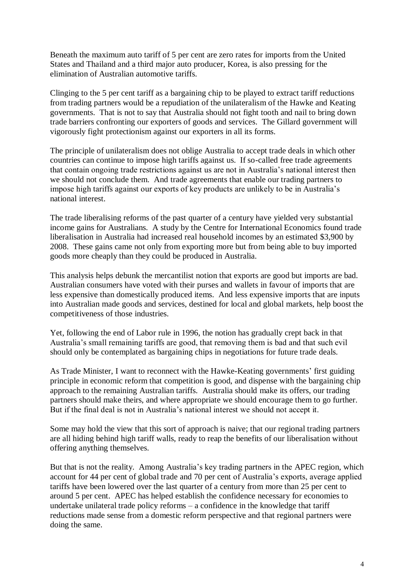Beneath the maximum auto tariff of 5 per cent are zero rates for imports from the United States and Thailand and a third major auto producer, Korea, is also pressing for the elimination of Australian automotive tariffs.

Clinging to the 5 per cent tariff as a bargaining chip to be played to extract tariff reductions from trading partners would be a repudiation of the unilateralism of the Hawke and Keating governments. That is not to say that Australia should not fight tooth and nail to bring down trade barriers confronting our exporters of goods and services. The Gillard government will vigorously fight protectionism against our exporters in all its forms.

The principle of unilateralism does not oblige Australia to accept trade deals in which other countries can continue to impose high tariffs against us. If so-called free trade agreements that contain ongoing trade restrictions against us are not in Australia"s national interest then we should not conclude them. And trade agreements that enable our trading partners to impose high tariffs against our exports of key products are unlikely to be in Australia"s national interest.

The trade liberalising reforms of the past quarter of a century have yielded very substantial income gains for Australians. A study by the Centre for International Economics found trade liberalisation in Australia had increased real household incomes by an estimated \$3,900 by 2008. These gains came not only from exporting more but from being able to buy imported goods more cheaply than they could be produced in Australia.

This analysis helps debunk the mercantilist notion that exports are good but imports are bad. Australian consumers have voted with their purses and wallets in favour of imports that are less expensive than domestically produced items. And less expensive imports that are inputs into Australian made goods and services, destined for local and global markets, help boost the competitiveness of those industries.

Yet, following the end of Labor rule in 1996, the notion has gradually crept back in that Australia"s small remaining tariffs are good, that removing them is bad and that such evil should only be contemplated as bargaining chips in negotiations for future trade deals.

As Trade Minister, I want to reconnect with the Hawke-Keating governments' first guiding principle in economic reform that competition is good, and dispense with the bargaining chip approach to the remaining Australian tariffs. Australia should make its offers, our trading partners should make theirs, and where appropriate we should encourage them to go further. But if the final deal is not in Australia"s national interest we should not accept it.

Some may hold the view that this sort of approach is naive; that our regional trading partners are all hiding behind high tariff walls, ready to reap the benefits of our liberalisation without offering anything themselves.

But that is not the reality. Among Australia's key trading partners in the APEC region, which account for 44 per cent of global trade and 70 per cent of Australia's exports, average applied tariffs have been lowered over the last quarter of a century from more than 25 per cent to around 5 per cent. APEC has helped establish the confidence necessary for economies to undertake unilateral trade policy reforms – a confidence in the knowledge that tariff reductions made sense from a domestic reform perspective and that regional partners were doing the same.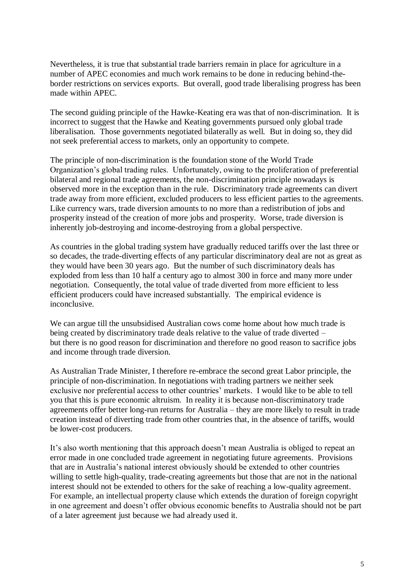Nevertheless, it is true that substantial trade barriers remain in place for agriculture in a number of APEC economies and much work remains to be done in reducing behind-theborder restrictions on services exports. But overall, good trade liberalising progress has been made within APEC.

The second guiding principle of the Hawke-Keating era was that of non-discrimination. It is incorrect to suggest that the Hawke and Keating governments pursued only global trade liberalisation. Those governments negotiated bilaterally as well. But in doing so, they did not seek preferential access to markets, only an opportunity to compete.

The principle of non-discrimination is the foundation stone of the World Trade Organization"s global trading rules. Unfortunately, owing to the proliferation of preferential bilateral and regional trade agreements, the non-discrimination principle nowadays is observed more in the exception than in the rule. Discriminatory trade agreements can divert trade away from more efficient, excluded producers to less efficient parties to the agreements. Like currency wars, trade diversion amounts to no more than a redistribution of jobs and prosperity instead of the creation of more jobs and prosperity. Worse, trade diversion is inherently job-destroying and income-destroying from a global perspective.

As countries in the global trading system have gradually reduced tariffs over the last three or so decades, the trade-diverting effects of any particular discriminatory deal are not as great as they would have been 30 years ago. But the number of such discriminatory deals has exploded from less than 10 half a century ago to almost 300 in force and many more under negotiation. Consequently, the total value of trade diverted from more efficient to less efficient producers could have increased substantially. The empirical evidence is inconclusive.

We can argue till the unsubsidised Australian cows come home about how much trade is being created by discriminatory trade deals relative to the value of trade diverted – but there is no good reason for discrimination and therefore no good reason to sacrifice jobs and income through trade diversion.

As Australian Trade Minister, I therefore re-embrace the second great Labor principle, the principle of non-discrimination. In negotiations with trading partners we neither seek exclusive nor preferential access to other countries' markets. I would like to be able to tell you that this is pure economic altruism. In reality it is because non-discriminatory trade agreements offer better long-run returns for Australia – they are more likely to result in trade creation instead of diverting trade from other countries that, in the absence of tariffs, would be lower-cost producers.

It's also worth mentioning that this approach doesn't mean Australia is obliged to repeat an error made in one concluded trade agreement in negotiating future agreements. Provisions that are in Australia"s national interest obviously should be extended to other countries willing to settle high-quality, trade-creating agreements but those that are not in the national interest should not be extended to others for the sake of reaching a low-quality agreement. For example, an intellectual property clause which extends the duration of foreign copyright in one agreement and doesn"t offer obvious economic benefits to Australia should not be part of a later agreement just because we had already used it.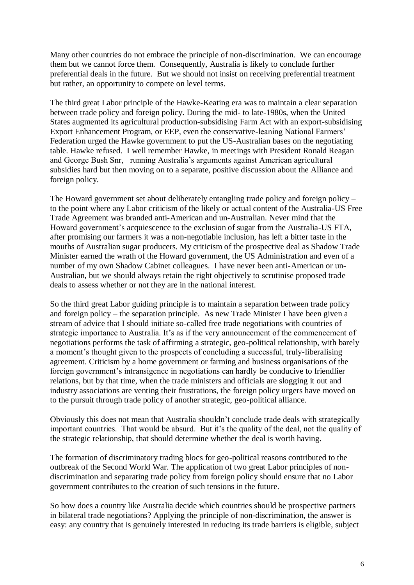Many other countries do not embrace the principle of non-discrimination. We can encourage them but we cannot force them. Consequently, Australia is likely to conclude further preferential deals in the future. But we should not insist on receiving preferential treatment but rather, an opportunity to compete on level terms.

The third great Labor principle of the Hawke-Keating era was to maintain a clear separation between trade policy and foreign policy. During the mid- to late-1980s, when the United States augmented its agricultural production-subsidising Farm Act with an export-subsidising Export Enhancement Program, or EEP, even the conservative-leaning National Farmers" Federation urged the Hawke government to put the US-Australian bases on the negotiating table. Hawke refused. I well remember Hawke, in meetings with President Ronald Reagan and George Bush Snr, running Australia"s arguments against American agricultural subsidies hard but then moving on to a separate, positive discussion about the Alliance and foreign policy.

The Howard government set about deliberately entangling trade policy and foreign policy – to the point where any Labor criticism of the likely or actual content of the Australia-US Free Trade Agreement was branded anti-American and un-Australian. Never mind that the Howard government's acquiescence to the exclusion of sugar from the Australia-US FTA, after promising our farmers it was a non-negotiable inclusion, has left a bitter taste in the mouths of Australian sugar producers. My criticism of the prospective deal as Shadow Trade Minister earned the wrath of the Howard government, the US Administration and even of a number of my own Shadow Cabinet colleagues. I have never been anti-American or un-Australian, but we should always retain the right objectively to scrutinise proposed trade deals to assess whether or not they are in the national interest.

So the third great Labor guiding principle is to maintain a separation between trade policy and foreign policy – the separation principle. As new Trade Minister I have been given a stream of advice that I should initiate so-called free trade negotiations with countries of strategic importance to Australia. It's as if the very announcement of the commencement of negotiations performs the task of affirming a strategic, geo-political relationship, with barely a moment's thought given to the prospects of concluding a successful, truly-liberalising agreement. Criticism by a home government or farming and business organisations of the foreign government's intransigence in negotiations can hardly be conducive to friendlier relations, but by that time, when the trade ministers and officials are slogging it out and industry associations are venting their frustrations, the foreign policy urgers have moved on to the pursuit through trade policy of another strategic, geo-political alliance.

Obviously this does not mean that Australia shouldn"t conclude trade deals with strategically important countries. That would be absurd. But it's the quality of the deal, not the quality of the strategic relationship, that should determine whether the deal is worth having.

The formation of discriminatory trading blocs for geo-political reasons contributed to the outbreak of the Second World War. The application of two great Labor principles of nondiscrimination and separating trade policy from foreign policy should ensure that no Labor government contributes to the creation of such tensions in the future.

So how does a country like Australia decide which countries should be prospective partners in bilateral trade negotiations? Applying the principle of non-discrimination, the answer is easy: any country that is genuinely interested in reducing its trade barriers is eligible, subject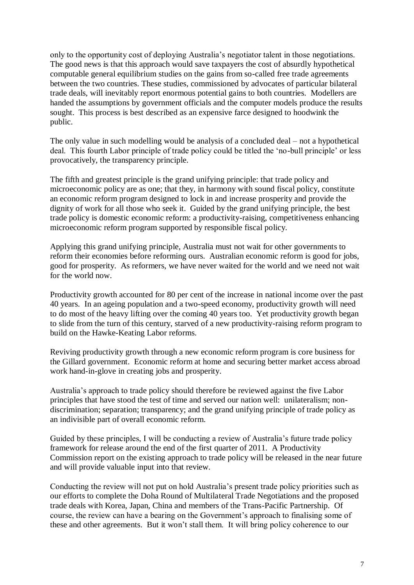only to the opportunity cost of deploying Australia"s negotiator talent in those negotiations. The good news is that this approach would save taxpayers the cost of absurdly hypothetical computable general equilibrium studies on the gains from so-called free trade agreements between the two countries. These studies, commissioned by advocates of particular bilateral trade deals, will inevitably report enormous potential gains to both countries. Modellers are handed the assumptions by government officials and the computer models produce the results sought. This process is best described as an expensive farce designed to hoodwink the public.

The only value in such modelling would be analysis of a concluded deal – not a hypothetical deal. This fourth Labor principle of trade policy could be titled the "no-bull principle" or less provocatively, the transparency principle.

The fifth and greatest principle is the grand unifying principle: that trade policy and microeconomic policy are as one; that they, in harmony with sound fiscal policy, constitute an economic reform program designed to lock in and increase prosperity and provide the dignity of work for all those who seek it. Guided by the grand unifying principle, the best trade policy is domestic economic reform: a productivity-raising, competitiveness enhancing microeconomic reform program supported by responsible fiscal policy.

Applying this grand unifying principle, Australia must not wait for other governments to reform their economies before reforming ours. Australian economic reform is good for jobs, good for prosperity. As reformers, we have never waited for the world and we need not wait for the world now.

Productivity growth accounted for 80 per cent of the increase in national income over the past 40 years. In an ageing population and a two-speed economy, productivity growth will need to do most of the heavy lifting over the coming 40 years too. Yet productivity growth began to slide from the turn of this century, starved of a new productivity-raising reform program to build on the Hawke-Keating Labor reforms.

Reviving productivity growth through a new economic reform program is core business for the Gillard government. Economic reform at home and securing better market access abroad work hand-in-glove in creating jobs and prosperity.

Australia"s approach to trade policy should therefore be reviewed against the five Labor principles that have stood the test of time and served our nation well: unilateralism; nondiscrimination; separation; transparency; and the grand unifying principle of trade policy as an indivisible part of overall economic reform.

Guided by these principles, I will be conducting a review of Australia's future trade policy framework for release around the end of the first quarter of 2011. A Productivity Commission report on the existing approach to trade policy will be released in the near future and will provide valuable input into that review.

Conducting the review will not put on hold Australia"s present trade policy priorities such as our efforts to complete the Doha Round of Multilateral Trade Negotiations and the proposed trade deals with Korea, Japan, China and members of the Trans-Pacific Partnership. Of course, the review can have a bearing on the Government's approach to finalising some of these and other agreements. But it won"t stall them. It will bring policy coherence to our